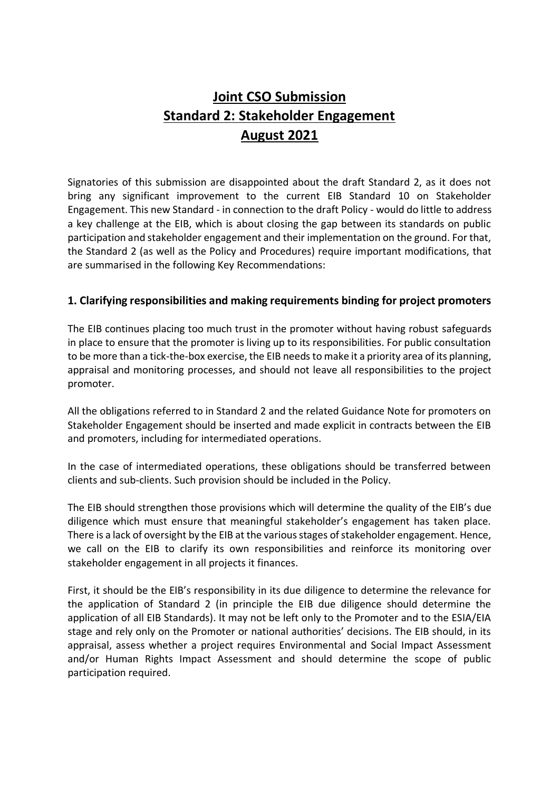## **Joint CSO Submission Standard 2: Stakeholder Engagement August 2021**

Signatories of this submission are disappointed about the draft Standard 2, as it does not bring any significant improvement to the current EIB Standard 10 on Stakeholder Engagement. This new Standard - in connection to the draft Policy - would do little to address a key challenge at the EIB, which is about closing the gap between its standards on public participation and stakeholder engagement and their implementation on the ground. For that, the Standard 2 (as well as the Policy and Procedures) require important modifications, that are summarised in the following Key Recommendations:

#### **1. Clarifying responsibilities and making requirements binding for project promoters**

The EIB continues placing too much trust in the promoter without having robust safeguards in place to ensure that the promoter is living up to its responsibilities. For public consultation to be more than a tick-the-box exercise, the EIB needs to make it a priority area of its planning, appraisal and monitoring processes, and should not leave all responsibilities to the project promoter.

All the obligations referred to in Standard 2 and the related Guidance Note for promoters on Stakeholder Engagement should be inserted and made explicit in contracts between the EIB and promoters, including for intermediated operations.

In the case of intermediated operations, these obligations should be transferred between clients and sub-clients. Such provision should be included in the Policy.

The EIB should strengthen those provisions which will determine the quality of the EIB's due diligence which must ensure that meaningful stakeholder's engagement has taken place. There is a lack of oversight by the EIB at the various stages of stakeholder engagement. Hence, we call on the EIB to clarify its own responsibilities and reinforce its monitoring over stakeholder engagement in all projects it finances.

First, it should be the EIB's responsibility in its due diligence to determine the relevance for the application of Standard 2 (in principle the EIB due diligence should determine the application of all EIB Standards). It may not be left only to the Promoter and to the ESIA/EIA stage and rely only on the Promoter or national authorities' decisions. The EIB should, in its appraisal, assess whether a project requires Environmental and Social Impact Assessment and/or Human Rights Impact Assessment and should determine the scope of public participation required.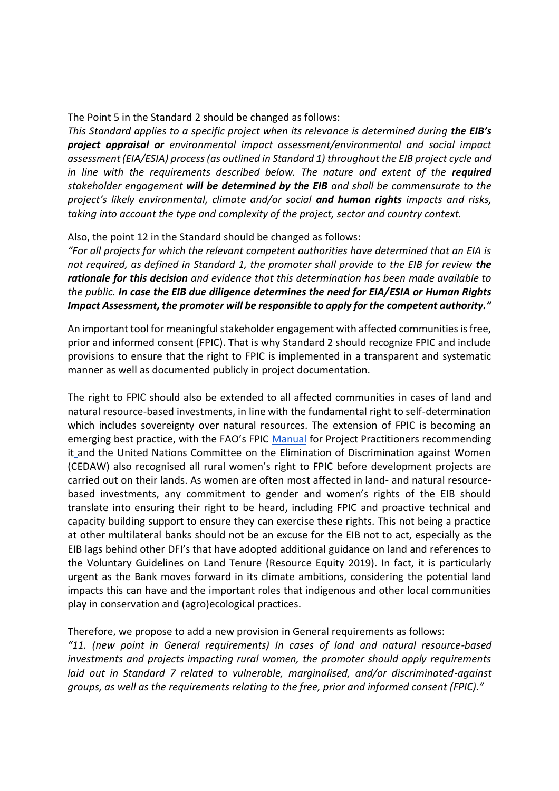The Point 5 in the Standard 2 should be changed as follows:

*This Standard applies to a specific project when its relevance is determined during the EIB's project appraisal or environmental impact assessment/environmental and social impact assessment (EIA/ESIA) process (as outlined in Standard 1) throughout the EIB project cycle and in line with the requirements described below. The nature and extent of the required stakeholder engagement will be determined by the EIB and shall be commensurate to the project's likely environmental, climate and/or social and human rights impacts and risks, taking into account the type and complexity of the project, sector and country context.*

Also, the point 12 in the Standard should be changed as follows:

*"For all projects for which the relevant competent authorities have determined that an EIA is not required, as defined in Standard 1, the promoter shall provide to the EIB for review the rationale for this decision and evidence that this determination has been made available to the public. In case the EIB due diligence determines the need for EIA/ESIA or Human Rights Impact Assessment, the promoter will be responsible to apply for the competent authority."*

An important tool for meaningful stakeholder engagement with affected communities is free, prior and informed consent (FPIC). That is why Standard 2 should recognize FPIC and include provisions to ensure that the right to FPIC is implemented in a transparent and systematic manner as well as documented publicly in project documentation.

The right to FPIC should also be extended to all affected communities in cases of land and natural resource-based investments, in line with the fundamental right to self-determination which includes sovereignty over natural resources. The extension of FPIC is becoming an emerging best practice, with the FAO's FPIC [Manual](http://www.fao.org/3/a-i6190e.pdf) for Project Practitioners recommending it [a](http://www.fao.org/3/a-i6190e.pdf)nd the United Nations Committee on the Elimination of Discrimination against Women (CEDAW) also recognised all rural women's right to FPIC before development projects are carried out on their lands. As women are often most affected in land- and natural resourcebased investments, any commitment to gender and women's rights of the EIB should translate into ensuring their right to be heard, including FPIC and proactive technical and capacity building support to ensure they can exercise these rights. This not being a practice at other multilateral banks should not be an excuse for the EIB not to act, especially as the EIB lags behind other DFI's that have adopted additional guidance on land and references to the Voluntary Guidelines on Land Tenure (Resource Equity 2019). In fact, it is particularly urgent as the Bank moves forward in its climate ambitions, considering the potential land impacts this can have and the important roles that indigenous and other local communities play in conservation and (agro)ecological practices.

Therefore, we propose to add a new provision in General requirements as follows:

*"11. (new point in General requirements) In cases of land and natural resource-based investments and projects impacting rural women, the promoter should apply requirements laid out in Standard 7 related to vulnerable, marginalised, and/or discriminated-against groups, as well as the requirements relating to the free, prior and informed consent (FPIC)."*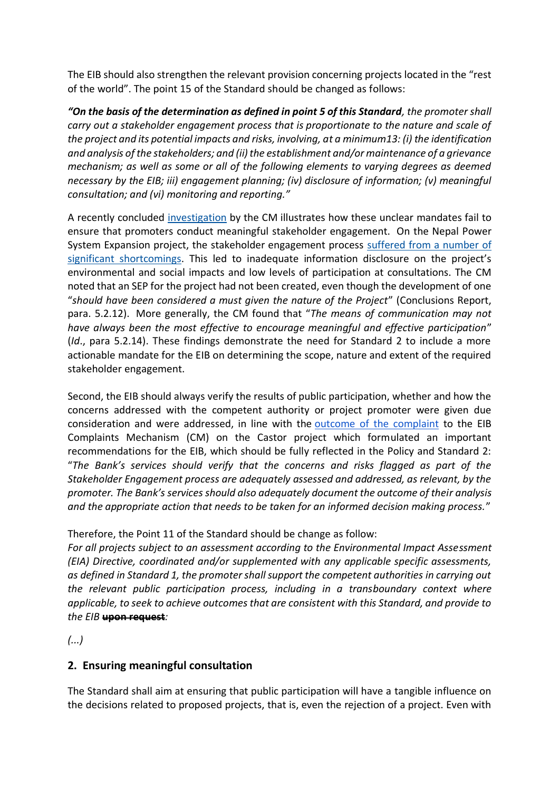The EIB should also strengthen the relevant provision concerning projects located in the "rest of the world". The point 15 of the Standard should be changed as follows:

*"On the basis of the determination as defined in point 5 of this Standard, the promoter shall carry out a stakeholder engagement process that is proportionate to the nature and scale of the project and its potential impacts and risks, involving, at a minimum13: (i) the identification and analysis of the stakeholders; and (ii) the establishment and/or maintenance of a grievance mechanism; as well as some or all of the following elements to varying degrees as deemed necessary by the EIB; iii) engagement planning; (iv) disclosure of information; (v) meaningful consultation; and (vi) monitoring and reporting."*

A recently concluded [investigation](https://www.eib.org/attachments/complaints/sg-e-2018-39-nepal-power-system-expansion-conclusions-report.pdf) by the CM illustrates how these unclear mandates fail to ensure that promoters conduct meaningful stakeholder engagement. On the Nepal Power System Expansion project, the stakeholder engagement process [suffered from a number of](https://www.accountabilitycounsel.org/client-case/nepal-220-kv-marsyangdi-corridor-transmission-line/)  [significant shortcomings](https://www.accountabilitycounsel.org/client-case/nepal-220-kv-marsyangdi-corridor-transmission-line/). This led to inadequate information disclosure on the project's environmental and social impacts and low levels of participation at consultations. The CM noted that an SEP for the project had not been created, even though the development of one "*should have been considered a must given the nature of the Project*" (Conclusions Report, para. 5.2.12). More generally, the CM found that "*The means of communication may not have always been the most effective to encourage meaningful and effective participation*" (*Id*., para 5.2.14). These findings demonstrate the need for Standard 2 to include a more actionable mandate for the EIB on determining the scope, nature and extent of the required stakeholder engagement.

Second, the EIB should always verify the results of public participation, whether and how the concerns addressed with the competent authority or project promoter were given due consideration and were addressed, in line with the [outcome of the complaint](https://www.eib.org/en/about/accountability/complaints/cases/castor-underground-gas-storage.htm) to the EIB Complaints Mechanism (CM) on the Castor project which formulated an important recommendations for the EIB, which should be fully reflected in the Policy and Standard 2: "*The Bank's services should verify that the concerns and risks flagged as part of the Stakeholder Engagement process are adequately assessed and addressed, as relevant, by the promoter. The Bank's services should also adequately document the outcome of their analysis and the appropriate action that needs to be taken for an informed decision making process.*"

#### Therefore, the Point 11 of the Standard should be change as follow:

*For all projects subject to an assessment according to the Environmental Impact Assessment (EIA) Directive, coordinated and/or supplemented with any applicable specific assessments, as defined in Standard 1, the promoter shall support the competent authorities in carrying out the relevant public participation process, including in a transboundary context where applicable, to seek to achieve outcomes that are consistent with this Standard, and provide to the EIB* **upon request***:*

*(...)*

### **2. Ensuring meaningful consultation**

The Standard shall aim at ensuring that public participation will have a tangible influence on the decisions related to proposed projects, that is, even the rejection of a project. Even with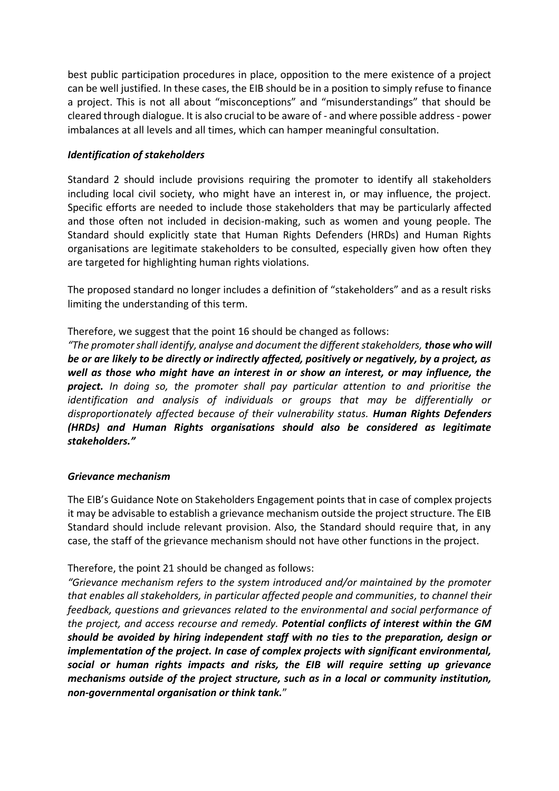best public participation procedures in place, opposition to the mere existence of a project can be well justified. In these cases, the EIB should be in a position to simply refuse to finance a project. This is not all about "misconceptions" and "misunderstandings" that should be cleared through dialogue. It is also crucial to be aware of - and where possible address - power imbalances at all levels and all times, which can hamper meaningful consultation.

#### *Identification of stakeholders*

Standard 2 should include provisions requiring the promoter to identify all stakeholders including local civil society, who might have an interest in, or may influence, the project. Specific efforts are needed to include those stakeholders that may be particularly affected and those often not included in decision-making, such as women and young people. The Standard should explicitly state that Human Rights Defenders (HRDs) and Human Rights organisations are legitimate stakeholders to be consulted, especially given how often they are targeted for highlighting human rights violations.

The proposed standard no longer includes a definition of "stakeholders" and as a result risks limiting the understanding of this term.

Therefore, we suggest that the point 16 should be changed as follows:

*"The promoter shall identify, analyse and document the different stakeholders, those who will be or are likely to be directly or indirectly affected, positively or negatively, by a project, as well as those who might have an interest in or show an interest, or may influence, the project. In doing so, the promoter shall pay particular attention to and prioritise the identification and analysis of individuals or groups that may be differentially or disproportionately affected because of their vulnerability status. Human Rights Defenders (HRDs) and Human Rights organisations should also be considered as legitimate stakeholders."*

#### *Grievance mechanism*

The EIB's Guidance Note on Stakeholders Engagement points that in case of complex projects it may be advisable to establish a grievance mechanism outside the project structure. The EIB Standard should include relevant provision. Also, the Standard should require that, in any case, the staff of the grievance mechanism should not have other functions in the project.

Therefore, the point 21 should be changed as follows:

*"Grievance mechanism refers to the system introduced and/or maintained by the promoter that enables all stakeholders, in particular affected people and communities, to channel their feedback, questions and grievances related to the environmental and social performance of the project, and access recourse and remedy. Potential conflicts of interest within the GM should be avoided by hiring independent staff with no ties to the preparation, design or implementation of the project. In case of complex projects with significant environmental, social or human rights impacts and risks, the EIB will require setting up grievance mechanisms outside of the project structure, such as in a local or community institution, non-governmental organisation or think tank.*"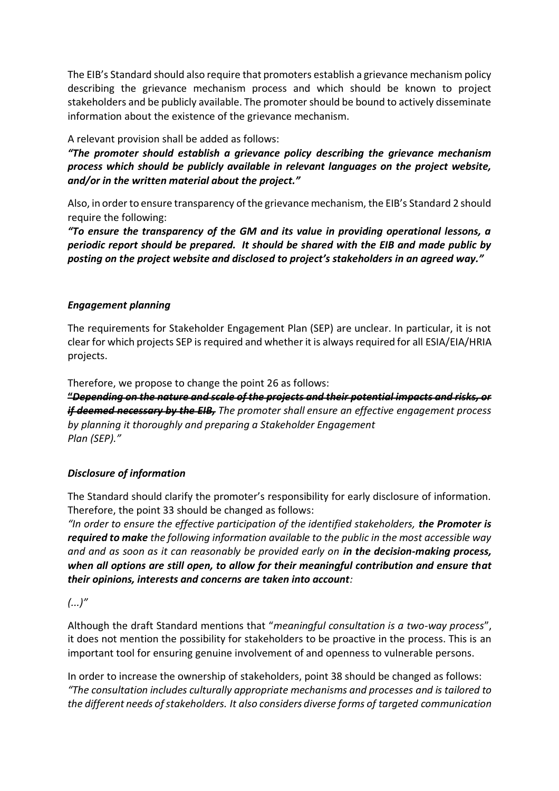The EIB's Standard should also require that promoters establish a grievance mechanism policy describing the grievance mechanism process and which should be known to project stakeholders and be publicly available. The promoter should be bound to actively disseminate information about the existence of the grievance mechanism.

#### A relevant provision shall be added as follows:

*"The promoter should establish a grievance policy describing the grievance mechanism process which should be publicly available in relevant languages on the project website, and/or in the written material about the project."*

Also, in order to ensure transparency of the grievance mechanism, the EIB's Standard 2 should require the following:

*"To ensure the transparency of the GM and its value in providing operational lessons, a periodic report should be prepared. It should be shared with the EIB and made public by posting on the project website and disclosed to project's stakeholders in an agreed way."*

#### *Engagement planning*

The requirements for Stakeholder Engagement Plan (SEP) are unclear. In particular, it is not clear for which projects SEP is required and whether it is always required for all ESIA/EIA/HRIA projects.

Therefore, we propose to change the point 26 as follows:

**"***Depending on the nature and scale of the projects and their potential impacts and risks, or if deemed necessary by the EIB, The promoter shall ensure an effective engagement process by planning it thoroughly and preparing a Stakeholder Engagement Plan (SEP)."*

### *Disclosure of information*

The Standard should clarify the promoter's responsibility for early disclosure of information. Therefore, the point 33 should be changed as follows:

*"In order to ensure the effective participation of the identified stakeholders, the Promoter is required to make the following information available to the public in the most accessible way and and as soon as it can reasonably be provided early on in the decision-making process, when all options are still open, to allow for their meaningful contribution and ensure that their opinions, interests and concerns are taken into account:*

### *(...)"*

Although the draft Standard mentions that "*meaningful consultation is a two-way process*", it does not mention the possibility for stakeholders to be proactive in the process. This is an important tool for ensuring genuine involvement of and openness to vulnerable persons.

In order to increase the ownership of stakeholders, point 38 should be changed as follows: *"The consultation includes culturally appropriate mechanisms and processes and is tailored to the different needs of stakeholders. It also considers diverse forms of targeted communication*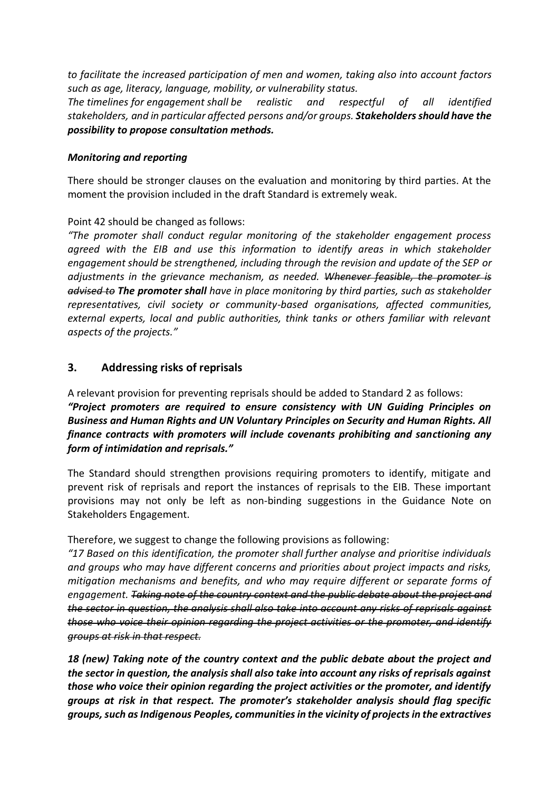*to facilitate the increased participation of men and women, taking also into account factors such as age, literacy, language, mobility, or vulnerability status.*

*The timelines for engagement shall be realistic and respectful of all identified stakeholders, and in particular affected persons and/or groups. Stakeholders should have the possibility to propose consultation methods.*

#### *Monitoring and reporting*

There should be stronger clauses on the evaluation and monitoring by third parties. At the moment the provision included in the draft Standard is extremely weak.

#### Point 42 should be changed as follows:

*"The promoter shall conduct regular monitoring of the stakeholder engagement process agreed with the EIB and use this information to identify areas in which stakeholder engagement should be strengthened, including through the revision and update of the SEP or adjustments in the grievance mechanism, as needed. Whenever feasible, the promoter is advised to The promoter shall have in place monitoring by third parties, such as stakeholder representatives, civil society or community-based organisations, affected communities, external experts, local and public authorities, think tanks or others familiar with relevant aspects of the projects."*

#### **3. Addressing risks of reprisals**

A relevant provision for preventing reprisals should be added to Standard 2 as follows: *"Project promoters are required to ensure consistency with UN Guiding Principles on Business and Human Rights and UN Voluntary Principles on Security and Human Rights. All finance contracts with promoters will include covenants prohibiting and sanctioning any form of intimidation and reprisals."*

The Standard should strengthen provisions requiring promoters to identify, mitigate and prevent risk of reprisals and report the instances of reprisals to the EIB. These important provisions may not only be left as non-binding suggestions in the Guidance Note on Stakeholders Engagement.

Therefore, we suggest to change the following provisions as following:

*"17 Based on this identification, the promoter shall further analyse and prioritise individuals and groups who may have different concerns and priorities about project impacts and risks, mitigation mechanisms and benefits, and who may require different or separate forms of engagement. Taking note of the country context and the public debate about the project and the sector in question, the analysis shall also take into account any risks of reprisals against those who voice their opinion regarding the project activities or the promoter, and identify groups at risk in that respect.*

*18 (new) Taking note of the country context and the public debate about the project and the sector in question, the analysis shall also take into account any risks of reprisals against those who voice their opinion regarding the project activities or the promoter, and identify groups at risk in that respect. The promoter's stakeholder analysis should flag specific groups, such as Indigenous Peoples, communities in the vicinity of projects in the extractives*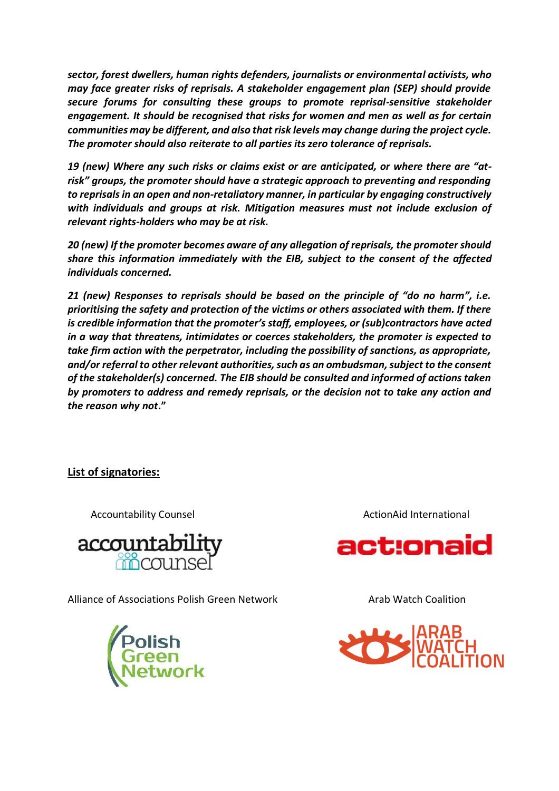*sector, forest dwellers, human rights defenders, journalists or environmental activists, who may face greater risks of reprisals. A stakeholder engagement plan (SEP) should provide secure forums for consulting these groups to promote reprisal-sensitive stakeholder engagement. It should be recognised that risks for women and men as well as for certain communities may be different, and also that risk levels may change during the project cycle. The promoter should also reiterate to all parties its zero tolerance of reprisals.*

*19 (new) Where any such risks or claims exist or are anticipated, or where there are "atrisk" groups, the promoter should have a strategic approach to preventing and responding to reprisals in an open and non-retaliatory manner, in particular by engaging constructively with individuals and groups at risk. Mitigation measures must not include exclusion of relevant rights-holders who may be at risk.*

*20 (new) If the promoter becomes aware of any allegation of reprisals, the promoter should share this information immediately with the EIB, subject to the consent of the affected individuals concerned.*

*21 (new) Responses to reprisals should be based on the principle of "do no harm", i.e. prioritising the safety and protection of the victims or others associated with them. If there is credible information that the promoter's staff, employees, or (sub)contractors have acted in a way that threatens, intimidates or coerces stakeholders, the promoter is expected to take firm action with the perpetrator, including the possibility of sanctions, as appropriate, and/or referral to other relevant authorities, such as an ombudsman, subject to the consent of the stakeholder(s) concerned. The EIB should be consulted and informed of actions taken by promoters to address and remedy reprisals, or the decision not to take any action and the reason why not***."**

### **List of signatories:**



Alliance of Associations Polish Green Network **Arab Watch Coalition** 



Accountability Counsel ActionAid International